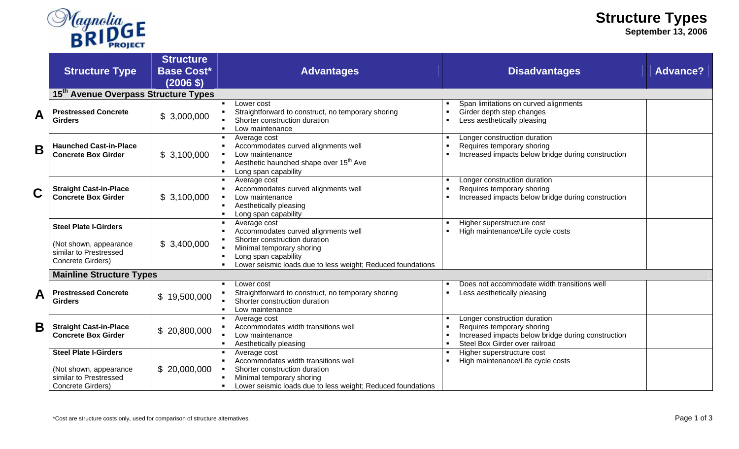

**September 13, 2006** 

|   | <b>Structure Type</b>                                                                                 | <b>Structure</b><br><b>Base Cost*</b><br>$(2006 \, \text{S})$ | <b>Advantages</b>                                                                                                                                                                                                                            | <b>Disadvantages</b>                                                                                                                               | <b>Advance?</b> |  |  |
|---|-------------------------------------------------------------------------------------------------------|---------------------------------------------------------------|----------------------------------------------------------------------------------------------------------------------------------------------------------------------------------------------------------------------------------------------|----------------------------------------------------------------------------------------------------------------------------------------------------|-----------------|--|--|
|   | 15 <sup>th</sup> Avenue Overpass Structure Types                                                      |                                                               |                                                                                                                                                                                                                                              |                                                                                                                                                    |                 |  |  |
| A | <b>Prestressed Concrete</b><br><b>Girders</b>                                                         | \$3,000,000                                                   | Lower cost<br>Straightforward to construct, no temporary shoring<br>Shorter construction duration<br>Low maintenance<br>п.                                                                                                                   | Span limitations on curved alignments<br>Girder depth step changes<br>$\blacksquare$<br>Less aesthetically pleasing                                |                 |  |  |
| B | <b>Haunched Cast-in-Place</b><br><b>Concrete Box Girder</b>                                           | \$3,100,000                                                   | Average cost<br>Accommodates curved alignments well<br>Low maintenance<br>$\blacksquare$<br>Aesthetic haunched shape over 15 <sup>th</sup> Ave<br>Long span capability                                                                       | Longer construction duration<br>Requires temporary shoring<br>Increased impacts below bridge during construction                                   |                 |  |  |
| Ć | <b>Straight Cast-in-Place</b><br><b>Concrete Box Girder</b>                                           | \$3,100,000                                                   | Average cost<br>Accommodates curved alignments well<br>Low maintenance<br>Aesthetically pleasing<br>Long span capability                                                                                                                     | Longer construction duration<br>Requires temporary shoring<br>Increased impacts below bridge during construction                                   |                 |  |  |
|   | <b>Steel Plate I-Girders</b><br>(Not shown, appearance<br>similar to Prestressed<br>Concrete Girders) | \$3,400,000                                                   | Average cost<br>Accommodates curved alignments well<br>$\blacksquare$<br>Shorter construction duration<br>Minimal temporary shoring<br>$\blacksquare$<br>Long span capability<br>Lower seismic loads due to less weight; Reduced foundations | Higher superstructure cost<br>High maintenance/Life cycle costs                                                                                    |                 |  |  |
|   | <b>Mainline Structure Types</b>                                                                       |                                                               |                                                                                                                                                                                                                                              |                                                                                                                                                    |                 |  |  |
| Α | <b>Prestressed Concrete</b><br><b>Girders</b>                                                         | \$19,500,000                                                  | Lower cost<br>Straightforward to construct, no temporary shoring<br>Shorter construction duration<br>Low maintenance<br>$\blacksquare$                                                                                                       | Does not accommodate width transitions well<br>Less aesthetically pleasing                                                                         |                 |  |  |
| B | <b>Straight Cast-in-Place</b><br><b>Concrete Box Girder</b>                                           | \$20,800,000                                                  | Average cost<br>Accommodates width transitions well<br>Low maintenance<br>Aesthetically pleasing                                                                                                                                             | Longer construction duration<br>Requires temporary shoring<br>Increased impacts below bridge during construction<br>Steel Box Girder over railroad |                 |  |  |
|   | <b>Steel Plate I-Girders</b><br>(Not shown, appearance<br>similar to Prestressed<br>Concrete Girders) | \$20,000,000                                                  | Average cost<br>Accommodates width transitions well<br>Shorter construction duration<br>Minimal temporary shoring<br>Lower seismic loads due to less weight; Reduced foundations                                                             | Higher superstructure cost<br>High maintenance/Life cycle costs                                                                                    |                 |  |  |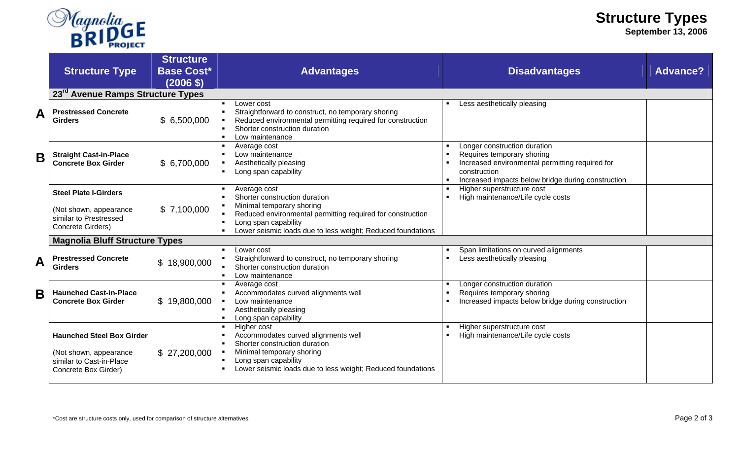

**September 13, 2006** 

|   | <b>Structure Type</b>                                                                                          | <b>Structure</b><br><b>Base Cost*</b><br>(2006 \$) | <b>Advantages</b>                                                                                                                                                                                       | <b>Disadvantages</b>                                                                                                                                                                | <b>Advance?</b> |
|---|----------------------------------------------------------------------------------------------------------------|----------------------------------------------------|---------------------------------------------------------------------------------------------------------------------------------------------------------------------------------------------------------|-------------------------------------------------------------------------------------------------------------------------------------------------------------------------------------|-----------------|
|   | 23 <sup>rd</sup> Avenue Ramps Structure Types                                                                  |                                                    |                                                                                                                                                                                                         |                                                                                                                                                                                     |                 |
| A | <b>Prestressed Concrete</b><br><b>Girders</b>                                                                  | \$6,500,000                                        | Lower cost<br>Straightforward to construct, no temporary shoring<br>Reduced environmental permitting required for construction<br>Shorter construction duration<br>Low maintenance                      | Less aesthetically pleasing                                                                                                                                                         |                 |
| B | <b>Straight Cast-in-Place</b><br><b>Concrete Box Girder</b>                                                    | \$6,700,000                                        | Average cost<br>Low maintenance<br>Aesthetically pleasing<br>Long span capability                                                                                                                       | Longer construction duration<br>Requires temporary shoring<br>Increased environmental permitting required for<br>construction<br>Increased impacts below bridge during construction |                 |
|   | <b>Steel Plate I-Girders</b><br>(Not shown, appearance<br>similar to Prestressed                               | \$7,100,000                                        | Average cost<br>Shorter construction duration<br>Minimal temporary shoring<br>Reduced environmental permitting required for construction                                                                | Higher superstructure cost<br>High maintenance/Life cycle costs                                                                                                                     |                 |
|   | Concrete Girders)                                                                                              |                                                    | Long span capability<br>Lower seismic loads due to less weight; Reduced foundations                                                                                                                     |                                                                                                                                                                                     |                 |
|   | <b>Magnolia Bluff Structure Types</b>                                                                          |                                                    |                                                                                                                                                                                                         |                                                                                                                                                                                     |                 |
| A | <b>Prestressed Concrete</b><br><b>Girders</b>                                                                  | \$18,900,000                                       | Lower cost<br>Straightforward to construct, no temporary shoring<br>Shorter construction duration<br>Low maintenance                                                                                    | Span limitations on curved alignments<br>Less aesthetically pleasing                                                                                                                |                 |
| B | <b>Haunched Cast-in-Place</b><br><b>Concrete Box Girder</b>                                                    | \$19,800,000                                       | Average cost<br>Accommodates curved alignments well<br>Low maintenance<br>Aesthetically pleasing<br>Long span capability                                                                                | Longer construction duration<br>Requires temporary shoring<br>Increased impacts below bridge during construction                                                                    |                 |
|   | <b>Haunched Steel Box Girder</b><br>(Not shown, appearance<br>similar to Cast-in-Place<br>Concrete Box Girder) | \$27,200,000                                       | Higher cost<br>Accommodates curved alignments well<br>Shorter construction duration<br>Minimal temporary shoring<br>Long span capability<br>Lower seismic loads due to less weight; Reduced foundations | Higher superstructure cost<br>High maintenance/Life cycle costs                                                                                                                     |                 |